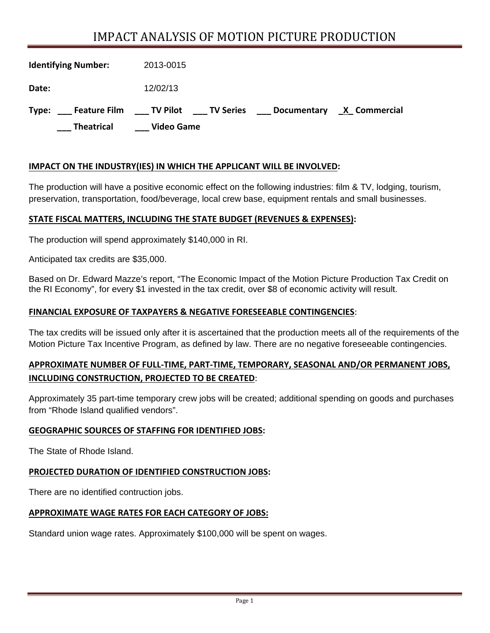# IMPACT ANALYSIS OF MOTION PICTURE PRODUCTION

| <b>Identifying Number:</b>            | 2013-0015         |             |              |
|---------------------------------------|-------------------|-------------|--------------|
| Date:                                 | 12/02/13          |             |              |
| <b>Feature Film TV Pilot</b><br>Type: | ____ TV Series    | Documentary | X Commercial |
| <b>Theatrical</b>                     | <b>Video Game</b> |             |              |

#### **IMPACT ON THE INDUSTRY(IES) IN WHICH THE APPLICANT WILL BE INVOLVED:**

The production will have a positive economic effect on the following industries: film & TV, lodging, tourism, preservation, transportation, food/beverage, local crew base, equipment rentals and small businesses.

#### **STATE FISCAL MATTERS, INCLUDING THE STATE BUDGET (REVENUES & EXPENSES):**

The production will spend approximately \$140,000 in RI.

Anticipated tax credits are \$35,000.

Based on Dr. Edward Mazze's report, "The Economic Impact of the Motion Picture Production Tax Credit on the RI Economy", for every \$1 invested in the tax credit, over \$8 of economic activity will result.

#### **FINANCIAL EXPOSURE OF TAXPAYERS & NEGATIVE FORESEEABLE CONTINGENCIES**:

The tax credits will be issued only after it is ascertained that the production meets all of the requirements of the Motion Picture Tax Incentive Program, as defined by law. There are no negative foreseeable contingencies.

### **APPROXIMATE NUMBER OF FULL‐TIME, PART‐TIME, TEMPORARY, SEASONAL AND/OR PERMANENT JOBS, INCLUDING CONSTRUCTION, PROJECTED TO BE CREATED**:

Approximately 35 part-time temporary crew jobs will be created; additional spending on goods and purchases from "Rhode Island qualified vendors".

#### **GEOGRAPHIC SOURCES OF STAFFING FOR IDENTIFIED JOBS:**

The State of Rhode Island.

#### **PROJECTED DURATION OF IDENTIFIED CONSTRUCTION JOBS:**

There are no identified contruction jobs.

#### **APPROXIMATE WAGE RATES FOR EACH CATEGORY OF JOBS:**

Standard union wage rates. Approximately \$100,000 will be spent on wages.